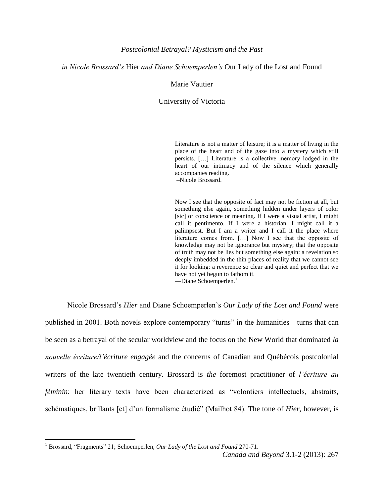## *in Nicole Brossard's* Hier *and Diane Schoemperlen's* Our Lady of the Lost and Found

## Marie Vautier

### University of Victoria

Literature is not a matter of leisure; it is a matter of living in the place of the heart and of the gaze into a mystery which still persists. […] Literature is a collective memory lodged in the heart of our intimacy and of the silence which generally accompanies reading.

–Nicole Brossard.

Now I see that the opposite of fact may not be fiction at all, but something else again, something hidden under layers of color [sic] or conscience or meaning. If I were a visual artist, I might call it pentimento. If I were a historian, I might call it a palimpsest. But I am a writer and I call it the place where literature comes from. […] Now I see that the opposite of knowledge may not be ignorance but mystery; that the opposite of truth may not be lies but something else again: a revelation so deeply imbedded in the thin places of reality that we cannot see it for looking: a reverence so clear and quiet and perfect that we have not yet begun to fathom it.

—Diane Schoemperlen.<sup>1</sup>

Nicole Brossard's *Hier* and Diane Schoemperlen's *Our Lady of the Lost and Found* were published in 2001. Both novels explore contemporary "turns" in the humanities—turns that can be seen as a betrayal of the secular worldview and the focus on the New World that dominated *la nouvelle écriture/l'écriture engagée* and the concerns of Canadian and Québécois postcolonial writers of the late twentieth century. Brossard is *the* foremost practitioner of *l'écriture au féminin*; her literary texts have been characterized as "volontiers intellectuels, abstraits, schématiques, brillants [et] d'un formalisme étudié" (Mailhot 84). The tone of *Hier*, however, is

<sup>1</sup> Brossard, "Fragments" 21; Schoemperlen, *Our Lady of the Lost and Found* 270-71.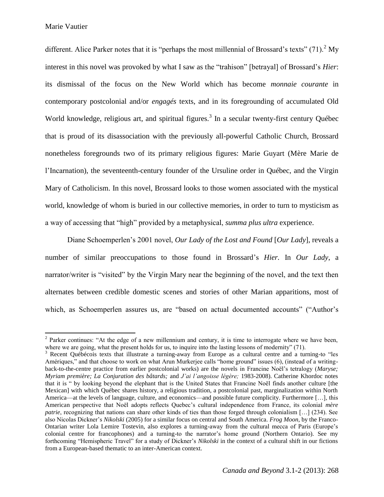Marie Vautier

 $\overline{\phantom{a}}$ 

different. Alice Parker notes that it is "perhaps the most millennial of Brossard's texts"  $(71)$ . My interest in this novel was provoked by what I saw as the "trahison" [betrayal] of Brossard's *Hier*: its dismissal of the focus on the New World which has become *monnaie courante* in contemporary postcolonial and/or *engagés* texts, and in its foregrounding of accumulated Old World knowledge, religious art, and spiritual figures.<sup>3</sup> In a secular twenty-first century Québec that is proud of its disassociation with the previously all-powerful Catholic Church, Brossard nonetheless foregrounds two of its primary religious figures: Marie Guyart (Mère Marie de l'Incarnation), the seventeenth-century founder of the Ursuline order in Québec, and the Virgin Mary of Catholicism. In this novel, Brossard looks to those women associated with the mystical world, knowledge of whom is buried in our collective memories, in order to turn to mysticism as a way of accessing that "high" provided by a metaphysical, *summa plus ultra* experience.

Diane Schoemperlen's 2001 novel, *Our Lady of the Lost and Found* [*Our Lady*], reveals a number of similar preoccupations to those found in Brossard's *Hier.* In *Our Lady*, a narrator/writer is "visited" by the Virgin Mary near the beginning of the novel, and the text then alternates between credible domestic scenes and stories of other Marian apparitions, most of which, as Schoemperlen assures us, are "based on actual documented accounts" ("Author's

<sup>&</sup>lt;sup>2</sup> Parker continues: "At the edge of a new millennium and century, it is time to interrogate where we have been, where we are going, what the present holds for us, to inquire into the lasting lessons of modernity" (71).

<sup>&</sup>lt;sup>3</sup> Recent Québécois texts that illustrate a turning-away from Europe as a cultural centre and a turning-to "les Amériques," and that choose to work on what Arun Murkerjee calls "home ground" issues (6), (instead of a writingback-to-the-centre practice from earlier postcolonial works) are the novels in Francine Noël's tetralogy (*Maryse; Myriam première; La Conjuration des bâtards;* and *J'ai l'angoisse légère;* 1983-2008). Catherine Khordoc notes that it is " by looking beyond the elephant that is the United States that Francine Noël finds another culture [the Mexican] with which Québec shares history, a religious tradition, a postcolonial past, marginalization within North America—at the levels of language, culture, and economics—and possible future complicity. Furthermore […], this American perspective that Noël adopts reflects Quebec's cultural independence from France, its colonial *mère patrie*, recognizing that nations can share other kinds of ties than those forged through colonialism [...] (234). See also Nicolas Dickner's *Nikolski* (2005) for a similar focus on central and South America. *Frog Moon,* by the Franco-Ontarian writer Lola Lemire Tostevin, also explores a turning-away from the cultural mecca of Paris (Europe's colonial centre for francophones) and a turning-to the narrator's home ground (Northern Ontario). See my forthcoming "Hemispheric Travel" for a study of Dickner's *Nikolski* in the context of a cultural shift in our fictions from a European-based thematic to an inter-American context.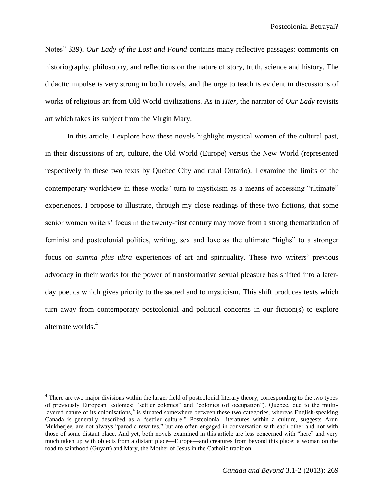Notes" 339). *Our Lady of the Lost and Found* contains many reflective passages: comments on historiography, philosophy, and reflections on the nature of story, truth, science and history. The didactic impulse is very strong in both novels, and the urge to teach is evident in discussions of works of religious art from Old World civilizations. As in *Hier,* the narrator of *Our Lady* revisits art which takes its subject from the Virgin Mary.

In this article, I explore how these novels highlight mystical women of the cultural past, in their discussions of art, culture, the Old World (Europe) versus the New World (represented respectively in these two texts by Quebec City and rural Ontario). I examine the limits of the contemporary worldview in these works' turn to mysticism as a means of accessing "ultimate" experiences. I propose to illustrate, through my close readings of these two fictions, that some senior women writers' focus in the twenty-first century may move from a strong thematization of feminist and postcolonial politics, writing, sex and love as the ultimate "highs" to a stronger focus on *summa plus ultra* experiences of art and spirituality. These two writers' previous advocacy in their works for the power of transformative sexual pleasure has shifted into a laterday poetics which gives priority to the sacred and to mysticism. This shift produces texts which turn away from contemporary postcolonial and political concerns in our fiction(s) to explore alternate worlds.<sup>4</sup>

 $\overline{a}$ 

<sup>&</sup>lt;sup>4</sup> There are two major divisions within the larger field of postcolonial literary theory, corresponding to the two types of previously European 'colonies: "settler colonies" and "colonies (of occupation"). Quebec, due to the multilayered nature of its colonisations,<sup>4</sup> is situated somewhere between these two categories, whereas English-speaking Canada is generally described as a "settler culture." Postcolonial literatures within a culture, suggests Arun Mukherjee, are not always "parodic rewrites," but are often engaged in conversation with each other and not with those of some distant place. And yet, both novels examined in this article are less concerned with "here" and very much taken up with objects from a distant place—Europe—and creatures from beyond this place: a woman on the road to sainthood (Guyart) and Mary, the Mother of Jesus in the Catholic tradition.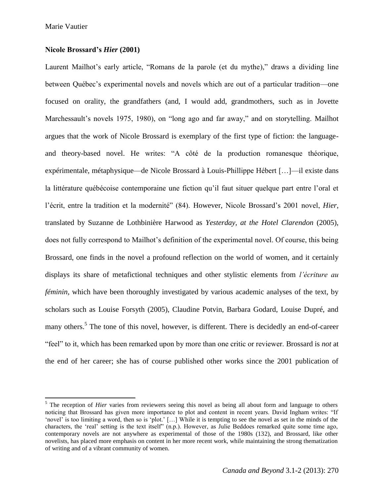$\overline{\phantom{a}}$ 

# **Nicole Brossard's** *Hier* **(2001)**

Laurent Mailhot's early article, "Romans de la parole (et du mythe)," draws a dividing line between Québec's experimental novels and novels which are out of a particular tradition—one focused on orality, the grandfathers (and, I would add, grandmothers, such as in Jovette Marchessault's novels 1975, 1980), on "long ago and far away," and on storytelling. Mailhot argues that the work of Nicole Brossard is exemplary of the first type of fiction: the languageand theory-based novel. He writes: "A côté de la production romanesque théorique, expérimentale, métaphysique—de Nicole Brossard à Louis-Phillippe Hébert […]—il existe dans la littérature québécoise contemporaine une fiction qu'il faut situer quelque part entre l'oral et l'écrit, entre la tradition et la modernité" (84). However, Nicole Brossard's 2001 novel, *Hier*, translated by Suzanne de Lothbinière Harwood as *Yesterday, at the Hotel Clarendon* (2005), does not fully correspond to Mailhot's definition of the experimental novel. Of course, this being Brossard, one finds in the novel a profound reflection on the world of women, and it certainly displays its share of metafictional techniques and other stylistic elements from *l'écriture au féminin*, which have been thoroughly investigated by various academic analyses of the text, by scholars such as Louise Forsyth (2005), Claudine Potvin, Barbara Godard, Louise Dupré, and many others.<sup>5</sup> The tone of this novel, however, is different. There is decidedly an end-of-career "feel" to it, which has been remarked upon by more than one critic or reviewer. Brossard is *not* at the end of her career; she has of course published other works since the 2001 publication of

<sup>&</sup>lt;sup>5</sup> The reception of *Hier* varies from reviewers seeing this novel as being all about form and language to others noticing that Brossard has given more importance to plot and content in recent years. David Ingham writes: "If 'novel' is too limiting a word, then so is 'plot.' […] While it is tempting to see the novel as set in the minds of the characters, the 'real' setting is the text itself" (n.p.). However, as Julie Beddoes remarked quite some time ago, contemporary novels are not anywhere as experimental of those of the 1980s (132), and Brossard, like other novelists, has placed more emphasis on content in her more recent work, while maintaining the strong thematization of writing and of a vibrant community of women.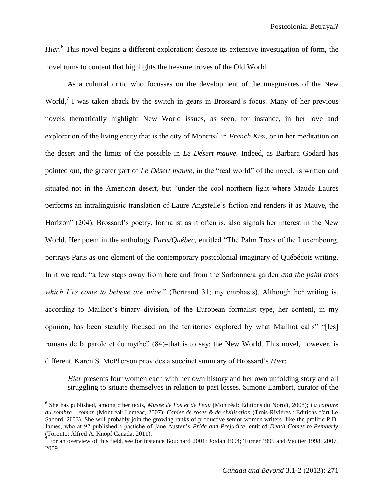*Hier*. 6 This novel begins a different exploration: despite its extensive investigation of form, the novel turns to content that highlights the treasure troves of the Old World.

As a cultural critic who focusses on the development of the imaginaries of the New World,<sup>7</sup> I was taken aback by the switch in gears in Brossard's focus. Many of her previous novels thematically highlight New World issues, as seen, for instance, in her love and exploration of the living entity that is the city of Montreal in *French Kiss*, or in her meditation on the desert and the limits of the possible in *Le Désert mauve.* Indeed, as Barbara Godard has pointed out, the greater part of *Le Désert mauve*, in the "real world" of the novel, is written and situated not in the American desert, but "under the cool northern light where Maude Laures performs an intralinguistic translation of Laure Angstelle's fiction and renders it as Mauve, the Horizon" (204). Brossard's poetry, formalist as it often is, also signals her interest in the New World. Her poem in the anthology *Paris/Québec*, entitled "The Palm Trees of the Luxembourg, portrays Paris as one element of the contemporary postcolonial imaginary of Québécois writing. In it we read: "a few steps away from here and from the Sorbonne/a garden *and the palm trees which I've come to believe are mine.*" (Bertrand 31; my emphasis). Although her writing is, according to Mailhot's binary division, of the European formalist type, her content, in my opinion, has been steadily focused on the territories explored by what Mailhot calls" "[les] romans de la parole et du mythe" (84)–that is to say: the New World. This novel, however, is different. Karen S. McPherson provides a succinct summary of Brossard's *Hier*:

*Hier* presents four women each with her own history and her own unfolding story and all struggling to situate themselves in relation to past losses. Simone Lambert, curator of the

<sup>6</sup> She has published, among other texts, *Musée de l'os et de l'eau* (Montréal: Éditions du Noroît, 2008); *La capture du sombre – roman* (Montréal: Leméac, 2007); *Cahier de roses & de civilisation* (Trois-Rivières : Éditions d'art Le Sabord, 2003). She will probably join the growing ranks of productive senior women writers, like the prolific P.D. James, who at 92 published a pastiche of Jane Austen's *Pride and Prejudice,* entitled *Death Comes to Pemberly*  (Toronto: Alfred A. Knopf Canada, 2011).<br><sup>7</sup> For an overview of this field, see for instance Bouchard 2001; Jordan 1994; Turner 1995 and Vautier 1998, 2007,

<sup>2009.</sup>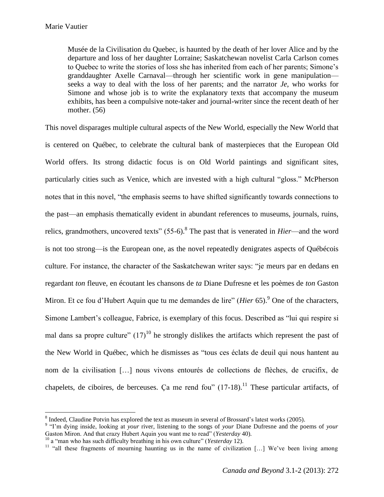Musée de la Civilisation du Quebec, is haunted by the death of her lover Alice and by the departure and loss of her daughter Lorraine; Saskatchewan novelist Carla Carlson comes to Quebec to write the stories of loss she has inherited from each of her parents; Simone's granddaughter Axelle Carnaval—through her scientific work in gene manipulation seeks a way to deal with the loss of her parents; and the narrator *Je*, who works for Simone and whose job is to write the explanatory texts that accompany the museum exhibits, has been a compulsive note-taker and journal-writer since the recent death of her mother. (56)

This novel disparages multiple cultural aspects of the New World, especially the New World that is centered on Québec, to celebrate the cultural bank of masterpieces that the European Old World offers. Its strong didactic focus is on Old World paintings and significant sites, particularly cities such as Venice, which are invested with a high cultural "gloss." McPherson notes that in this novel, "the emphasis seems to have shifted significantly towards connections to the past—an emphasis thematically evident in abundant references to museums, journals, ruins, relics, grandmothers, uncovered texts" (55-6).<sup>8</sup> The past that is venerated in *Hier*—and the word is not too strong—is the European one, as the novel repeatedly denigrates aspects of Québécois culture. For instance, the character of the Saskatchewan writer says: "je meurs par en dedans en regardant *ton* fleuve, en écoutant les chansons de *ta* Diane Dufresne et les poèmes de *ton* Gaston Miron. Et ce fou d'Hubert Aquin que tu me demandes de lire" (*Hier* 65).<sup>9</sup> One of the characters, Simone Lambert's colleague, Fabrice, is exemplary of this focus. Described as "lui qui respire si mal dans sa propre culture"  $(17)^{10}$  he strongly dislikes the artifacts which represent the past of the New World in Québec, which he dismisses as "tous ces éclats de deuil qui nous hantent au nom de la civilisation […] nous vivons entourés de collections de flèches, de crucifix, de chapelets, de ciboires, de berceuses. Ca me rend fou"  $(17-18)$ .<sup>11</sup> These particular artifacts, of

 $\overline{a}$  $8$  Indeed, Claudine Potvin has explored the text as museum in several of Brossard's latest works (2005).

<sup>9</sup> "I'm dying inside, looking at *your* river, listening to the songs of *your* Diane Dufresne and the poems of *your* Gaston Miron. And that crazy Hubert Aquin you want me to read" (*Yesterday* 40).

<sup>&</sup>lt;sup>10</sup> a "man who has such difficulty breathing in his own culture" (*Yesterday* 12).

<sup>&</sup>lt;sup>11</sup> "all these fragments of mourning haunting us in the name of civilization [...] We've been living among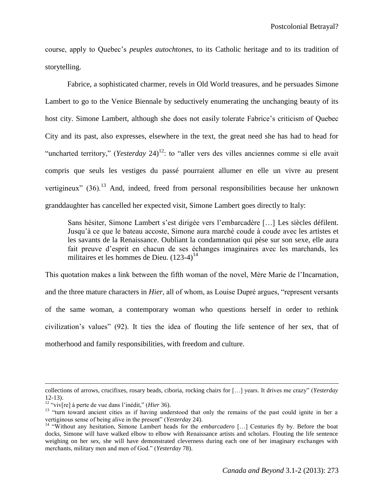course, apply to Quebec's *peuples autochtones*, to its Catholic heritage and to its tradition of storytelling.

Fabrice, a sophisticated charmer, revels in Old World treasures, and he persuades Simone Lambert to go to the Venice Biennale by seductively enumerating the unchanging beauty of its host city. Simone Lambert, although she does not easily tolerate Fabrice's criticism of Quebec City and its past, also expresses, elsewhere in the text, the great need she has had to head for "uncharted territory," (*Yesterday* 24)<sup>12</sup>: to "aller vers des villes anciennes comme si elle avait compris que seuls les vestiges du passé pourraient allumer en elle un vivre au present vertigineux" (36).<sup>13</sup> And, indeed, freed from personal responsibilities because her unknown granddaughter has cancelled her expected visit, Simone Lambert goes directly to Italy:

Sans hésiter, Simone Lambert s'est dirigée vers l'embarcadère […] Les siècles défilent. Jusqu'à ce que le bateau accoste, Simone aura marché coude à coude avec les artistes et les savants de la Renaissance. Oubliant la condamnation qui pèse sur son sexe, elle aura fait preuve d'esprit en chacun de ses échanges imaginaires avec les marchands, les militaires et les hommes de Dieu.  $(123-4)^{14}$ 

This quotation makes a link between the fifth woman of the novel, Mère Marie de l'Incarnation, and the three mature characters in *Hier*, all of whom, as Louise Dupré argues, "represent versants of the same woman, a contemporary woman who questions herself in order to rethink civilization's values" (92). It ties the idea of flouting the life sentence of her sex, that of motherhood and family responsibilities, with freedom and culture.

collections of arrows, crucifixes, rosary beads, ciboria, rocking chairs for […] years. It drives me crazy" (*Yesterday*  12-13).

<sup>12</sup> "viv[re] à perte de vue dans l'inédit," (*Hier* 36).

<sup>&</sup>lt;sup>13</sup> "turn toward ancient cities as if having understood that only the remains of the past could ignite in her a vertiginous sense of being alive in the present" (*Yesterday* 24).

<sup>14</sup> "Without any hesitation, Simone Lambert heads for the *embarcadero* […] Centuries fly by. Before the boat docks, Simone will have walked elbow to elbow with Renaissance artists and scholars. Flouting the life sentence weighing on her sex, she will have demonstrated cleverness during each one of her imaginary exchanges with merchants, military men and men of God." (*Yesterday* 78).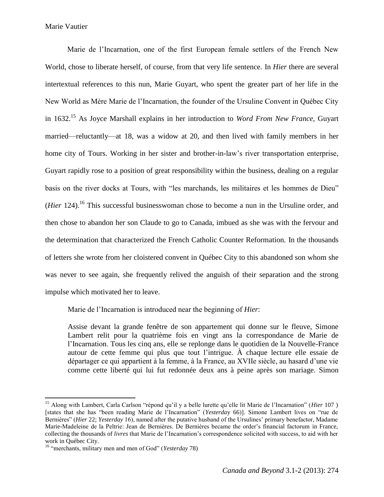Marie de l'Incarnation, one of the first European female settlers of the French New World, chose to liberate herself, of course, from that very life sentence. In *Hier* there are several intertextual references to this nun, Marie Guyart, who spent the greater part of her life in the New World as Mère Marie de l'Incarnation, the founder of the Ursuline Convent in Québec City in 1632.<sup>15</sup> As Joyce Marshall explains in her introduction to *Word From New France,* Guyart married—reluctantly—at 18, was a widow at 20, and then lived with family members in her home city of Tours. Working in her sister and brother-in-law's river transportation enterprise, Guyart rapidly rose to a position of great responsibility within the business, dealing on a regular basis on the river docks at Tours, with "les marchands, les militaires et les hommes de Dieu" (*Hier* 124). <sup>16</sup> This successful businesswoman chose to become a nun in the Ursuline order, and then chose to abandon her son Claude to go to Canada, imbued as she was with the fervour and the determination that characterized the French Catholic Counter Reformation. In the thousands of letters she wrote from her cloistered convent in Québec City to this abandoned son whom she was never to see again, she frequently relived the anguish of their separation and the strong impulse which motivated her to leave.

Marie de l'Incarnation is introduced near the beginning of *Hier*:

Assise devant la grande fenêtre de son appartement qui donne sur le fleuve, Simone Lambert relit pour la quatrième fois en vingt ans la correspondance de Marie de l'Incarnation. Tous les cinq ans, elle se replonge dans le quotidien de la Nouvelle-France autour de cette femme qui plus que tout l'intrigue. À chaque lecture elle essaie de départager ce qui appartient à la femme, à la France, au XVIIe siècle, au hasard d'une vie comme cette liberté qui lui fut redonnée deux ans à peine après son mariage. Simon

<sup>15</sup> Along with Lambert, Carla Carlson "répond qu'il y a belle lurette qu'elle lit Marie de l'Incarnation" (*Hier* 107 ) [states that she has "been reading Marie de l'Incarnation" (*Yesterda*y 66)]. Simone Lambert lives on "rue de Bernières" (*Hier* 22; *Yesterday* 16), named after the putative husband of the Ursulines' primary benefactor, Madame Marie-Madeleine de la Peltrie: Jean de Bernières. De Bernières became the order's financial factorum in France, collecting the thousands of *livres* that Marie de l'Incarnation's correspondence solicited with success, to aid with her work in Québec City.

<sup>16</sup> "merchants, military men and men of God" (*Yesterday* 78)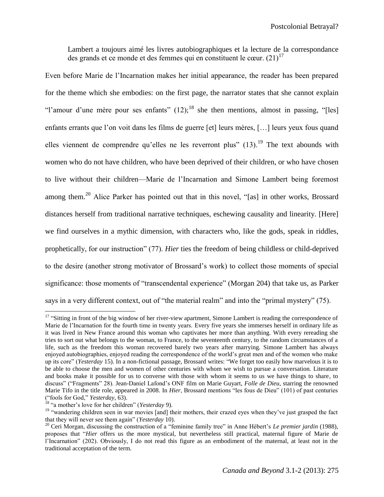Lambert a toujours aimé les livres autobiographiques et la lecture de la correspondance des grands et ce monde et des femmes qui en constituent le cœur.  $(21)^{17}$ 

Even before Marie de l'Incarnation makes her initial appearance, the reader has been prepared for the theme which she embodies: on the first page, the narrator states that she cannot explain "l'amour d'une mère pour ses enfants"  $(12)$ ;<sup>18</sup> she then mentions, almost in passing, "[les] enfants errants que l'on voit dans les films de guerre [et] leurs mères, […] leurs yeux fous quand elles viennent de comprendre qu'elles ne les reverront plus"  $(13)$ .<sup>19</sup> The text abounds with women who do not have children, who have been deprived of their children, or who have chosen to live without their children—Marie de l'Incarnation and Simone Lambert being foremost among them.<sup>20</sup> Alice Parker has pointed out that in this novel, "[as] in other works, Brossard distances herself from traditional narrative techniques, eschewing causality and linearity. [Here] we find ourselves in a mythic dimension, with characters who, like the gods, speak in riddles, prophetically, for our instruction" (77). *Hier* ties the freedom of being childless or child-deprived to the desire (another strong motivator of Brossard's work) to collect those moments of special significance: those moments of "transcendental experience" (Morgan 204) that take us, as Parker says in a very different context, out of "the material realm" and into the "primal mystery" (75).

<sup>&</sup>lt;sup>17</sup> "Sitting in front of the big window of her river-view apartment, Simone Lambert is reading the correspondence of Marie de l'Incarnation for the fourth time in twenty years. Every five years she immerses herself in ordinary life as it was lived in New France around this woman who captivates her more than anything. With every rereading she tries to sort out what belongs to the woman, to France, to the seventeenth century, to the random circumstances of a life, such as the freedom this woman recovered barely two years after marrying. Simone Lambert has always enjoyed autobiographies, enjoyed reading the correspondence of the world's great men and of the women who make up its core" (*Yesterday* 15). In a non-fictional passage, Brossard writes: "We forget too easily how marvelous it is to be able to choose the men and women of other centuries with whom we wish to pursue a conversation. Literature and books make it possible for us to converse with those with whom it seems to us we have things to share, to discuss" ("Fragments" 28). Jean-Daniel Lafond's ONF film on Marie Guyart, *Folle de Dieu,* starring the renowned Marie Tifo in the title role, appeared in 2008. In *Hier*, Brossard mentions "les fous de Dieu" (101) of past centuries ("fools for God," *Yesterday*, 63).

<sup>18</sup> "a mother's love for her children" (*Yesterday* 9).

<sup>&</sup>lt;sup>19</sup> "wandering children seen in war movies [and] their mothers, their crazed eyes when they've just grasped the fact that they will never see them again" (*Yesterday* 10).

<sup>20</sup> Ceri Morgan, discussing the construction of a "feminine family tree" in Anne Hébert's *Le premier jardin* (1988), proposes that "*Hier* offers us the more mystical, but nevertheless still practical, maternal figure of Marie de l'Incarnation" (202). Obviously, I do not read this figure as an embodiment of the maternal, at least not in the traditional acceptation of the term.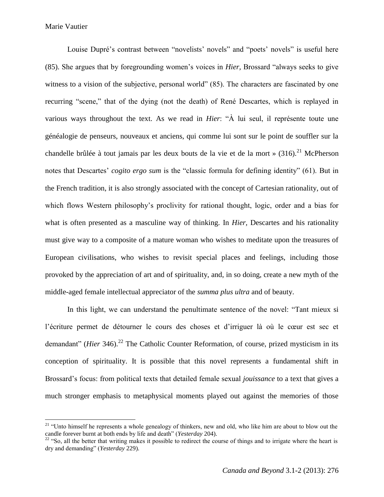$\overline{\phantom{a}}$ 

Louise Dupré's contrast between "novelists' novels" and "poets' novels" is useful here (85). She argues that by foregrounding women's voices in *Hier,* Brossard "always seeks to give witness to a vision of the subjective, personal world" (85). The characters are fascinated by one recurring "scene," that of the dying (not the death) of René Descartes, which is replayed in various ways throughout the text. As we read in *Hier*: "À lui seul, il représente toute une généalogie de penseurs, nouveaux et anciens, qui comme lui sont sur le point de souffler sur la chandelle brûlée à tout jamais par les deux bouts de la vie et de la mort »  $(316)$ .<sup>21</sup> McPherson notes that Descartes' *cogito ergo sum* is the "classic formula for defining identity" (61). But in the French tradition, it is also strongly associated with the concept of Cartesian rationality, out of which flows Western philosophy's proclivity for rational thought, logic, order and a bias for what is often presented as a masculine way of thinking. In *Hier,* Descartes and his rationality must give way to a composite of a mature woman who wishes to meditate upon the treasures of European civilisations, who wishes to revisit special places and feelings, including those provoked by the appreciation of art and of spirituality, and, in so doing, create a new myth of the middle-aged female intellectual appreciator of the *summa plus ultra* and of beauty.

In this light, we can understand the penultimate sentence of the novel: "Tant mieux si l'écriture permet de détourner le cours des choses et d'irriguer là où le cœur est sec et demandant" (*Hier* 346).<sup>22</sup> The Catholic Counter Reformation, of course, prized mysticism in its conception of spirituality. It is possible that this novel represents a fundamental shift in Brossard's focus: from political texts that detailed female sexual *jouissance* to a text that gives a much stronger emphasis to metaphysical moments played out against the memories of those

<sup>&</sup>lt;sup>21</sup> "Unto himself he represents a whole genealogy of thinkers, new and old, who like him are about to blow out the candle forever burnt at both ends by life and death" (*Yesterday* 204).

 $22$  "So, all the better that writing makes it possible to redirect the course of things and to irrigate where the heart is dry and demanding" (*Yesterday* 229).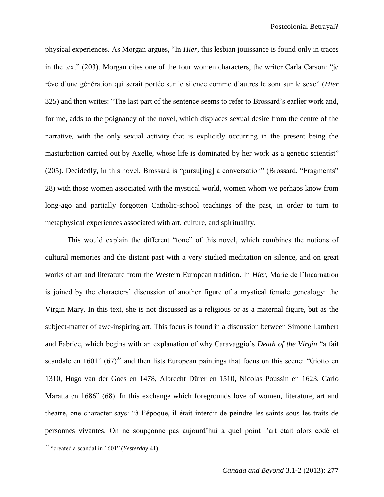physical experiences. As Morgan argues, "In *Hier*, this lesbian jouissance is found only in traces in the text" (203). Morgan cites one of the four women characters, the writer Carla Carson: "je rêve d'une génération qui serait portée sur le silence comme d'autres le sont sur le sexe" (*Hier* 325) and then writes: "The last part of the sentence seems to refer to Brossard's earlier work and, for me, adds to the poignancy of the novel, which displaces sexual desire from the centre of the narrative, with the only sexual activity that is explicitly occurring in the present being the masturbation carried out by Axelle, whose life is dominated by her work as a genetic scientist" (205). Decidedly, in this novel, Brossard is "pursu[ing] a conversation" (Brossard, "Fragments" 28) with those women associated with the mystical world, women whom we perhaps know from long-ago and partially forgotten Catholic-school teachings of the past, in order to turn to metaphysical experiences associated with art, culture, and spirituality.

This would explain the different "tone" of this novel, which combines the notions of cultural memories and the distant past with a very studied meditation on silence, and on great works of art and literature from the Western European tradition. In *Hier,* Marie de l'Incarnation is joined by the characters' discussion of another figure of a mystical female genealogy: the Virgin Mary. In this text, she is not discussed as a religious or as a maternal figure, but as the subject-matter of awe-inspiring art. This focus is found in a discussion between Simone Lambert and Fabrice, which begins with an explanation of why Caravaggio's *Death of the Virgin* "a fait scandale en 1601"  $(67)^{23}$  and then lists European paintings that focus on this scene: "Giotto en 1310, Hugo van der Goes en 1478, Albrecht Dürer en 1510, Nicolas Poussin en 1623, Carlo Maratta en 1686" (68). In this exchange which foregrounds love of women, literature, art and theatre, one character says: "à l'époque, il était interdit de peindre les saints sous les traits de personnes vivantes. On ne soupçonne pas aujourd'hui à quel point l'art était alors codé et

<sup>23</sup> "created a scandal in 1601" (*Yesterday* 41).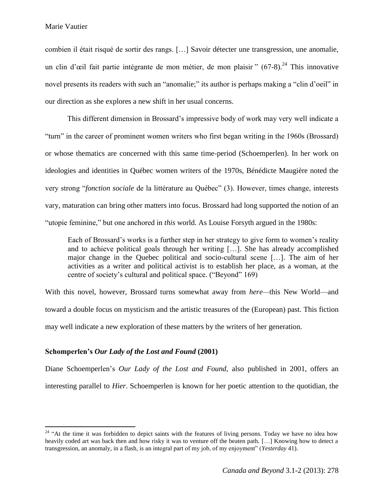$\overline{\phantom{a}}$ 

combien il était risqué de sortir des rangs. […] Savoir détecter une transgression, une anomalie, un clin d'œil fait partie intégrante de mon métier, de mon plaisir "  $(67-8)$ .<sup>24</sup> This innovative novel presents its readers with such an "anomalie;" its author is perhaps making a "clin d'oeil" in our direction as she explores a new shift in her usual concerns.

This different dimension in Brossard's impressive body of work may very well indicate a "turn" in the career of prominent women writers who first began writing in the 1960s (Brossard) or whose thematics are concerned with this same time-period (Schoemperlen). In her work on ideologies and identities in Québec women writers of the 1970s, Bénédicte Maugière noted the very strong "*fonction sociale* de la littérature au Québec" (3). However, times change, interests vary, maturation can bring other matters into focus. Brossard had long supported the notion of an "utopie feminine," but one anchored in *this* world. As Louise Forsyth argued in the 1980s:

Each of Brossard's works is a further step in her strategy to give form to women's reality and to achieve political goals through her writing […]. She has already accomplished major change in the Quebec political and socio-cultural scene […]. The aim of her activities as a writer and political activist is to establish her place, as a woman, at the centre of society's cultural and political space. ("Beyond" 169)

With this novel, however, Brossard turns somewhat away from *here—*this New World—and toward a double focus on mysticism and the artistic treasures of the (European) past. This fiction may well indicate a new exploration of these matters by the writers of her generation.

## **Schomperlen's** *Our Lady of the Lost and Found* **(2001)**

Diane Schoemperlen's *Our Lady of the Lost and Found,* also published in 2001, offers an interesting parallel to *Hier*. Schoemperlen is known for her poetic attention to the quotidian, the

<sup>&</sup>lt;sup>24</sup> "At the time it was forbidden to depict saints with the features of living persons. Today we have no idea how heavily coded art was back then and how risky it was to venture off the beaten path. […] Knowing how to detect a transgression, an anomaly, in a flash, is an integral part of my job, of my enjoyment" (*Yesterday* 41).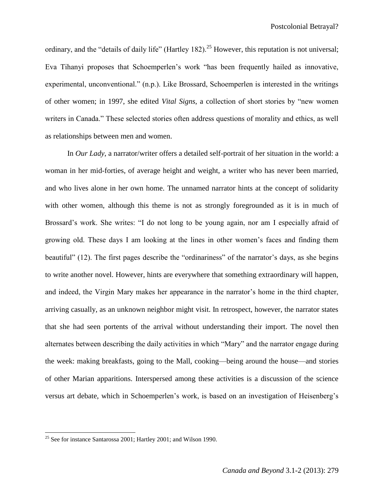ordinary, and the "details of daily life" (Hartley 182).<sup>25</sup> However, this reputation is not universal; Eva Tihanyi proposes that Schoemperlen's work "has been frequently hailed as innovative, experimental, unconventional." (n.p.). Like Brossard, Schoemperlen is interested in the writings of other women; in 1997, she edited *Vital Signs*, a collection of short stories by "new women writers in Canada." These selected stories often address questions of morality and ethics, as well as relationships between men and women.

In *Our Lady*, a narrator/writer offers a detailed self-portrait of her situation in the world: a woman in her mid-forties, of average height and weight, a writer who has never been married, and who lives alone in her own home. The unnamed narrator hints at the concept of solidarity with other women, although this theme is not as strongly foregrounded as it is in much of Brossard's work. She writes: "I do not long to be young again, nor am I especially afraid of growing old. These days I am looking at the lines in other women's faces and finding them beautiful" (12). The first pages describe the "ordinariness" of the narrator's days, as she begins to write another novel. However, hints are everywhere that something extraordinary will happen, and indeed, the Virgin Mary makes her appearance in the narrator's home in the third chapter, arriving casually, as an unknown neighbor might visit. In retrospect, however, the narrator states that she had seen portents of the arrival without understanding their import. The novel then alternates between describing the daily activities in which "Mary" and the narrator engage during the week: making breakfasts, going to the Mall, cooking—being around the house—and stories of other Marian apparitions. Interspersed among these activities is a discussion of the science versus art debate, which in Schoemperlen's work, is based on an investigation of Heisenberg's

 $25$  See for instance Santarossa 2001; Hartley 2001; and Wilson 1990.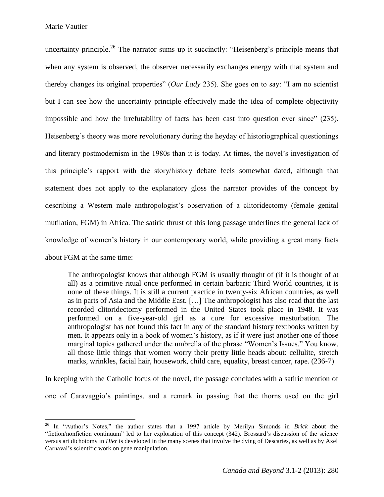$\overline{\phantom{a}}$ 

uncertainty principle.<sup>26</sup> The narrator sums up it succinctly: "Heisenberg's principle means that when any system is observed, the observer necessarily exchanges energy with that system and thereby changes its original properties" (*Our Lady* 235). She goes on to say: "I am no scientist but I can see how the uncertainty principle effectively made the idea of complete objectivity impossible and how the irrefutability of facts has been cast into question ever since" (235). Heisenberg's theory was more revolutionary during the heyday of historiographical questionings and literary postmodernism in the 1980s than it is today. At times, the novel's investigation of this principle's rapport with the story/history debate feels somewhat dated, although that statement does not apply to the explanatory gloss the narrator provides of the concept by describing a Western male anthropologist's observation of a clitoridectomy (female genital mutilation, FGM) in Africa. The satiric thrust of this long passage underlines the general lack of knowledge of women's history in our contemporary world, while providing a great many facts about FGM at the same time:

The anthropologist knows that although FGM is usually thought of (if it is thought of at all) as a primitive ritual once performed in certain barbaric Third World countries, it is none of these things. It is still a current practice in twenty-six African countries, as well as in parts of Asia and the Middle East. […] The anthropologist has also read that the last recorded clitoridectomy performed in the United States took place in 1948. It was performed on a five-year-old girl as a cure for excessive masturbation. The anthropologist has not found this fact in any of the standard history textbooks written by men. It appears only in a book of women's history, as if it were just another one of those marginal topics gathered under the umbrella of the phrase "Women's Issues." You know, all those little things that women worry their pretty little heads about: cellulite, stretch marks, wrinkles, facial hair, housework, child care, equality, breast cancer, rape. (236-7)

In keeping with the Catholic focus of the novel, the passage concludes with a satiric mention of one of Caravaggio's paintings, and a remark in passing that the thorns used on the girl

<sup>26</sup> In "Author's Notes," the author states that a 1997 article by Merilyn Simonds in *Brick* about the "fiction/nonfiction continuum" led to her exploration of this concept (342). Brossard's discussion of the science versus art dichotomy in *Hier* is developed in the many scenes that involve the dying of Descartes, as well as by Axel Carnaval's scientific work on gene manipulation.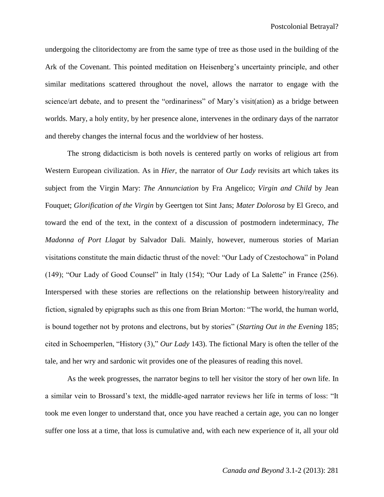undergoing the clitoridectomy are from the same type of tree as those used in the building of the Ark of the Covenant. This pointed meditation on Heisenberg's uncertainty principle, and other similar meditations scattered throughout the novel, allows the narrator to engage with the science/art debate, and to present the "ordinariness" of Mary's visit(ation) as a bridge between worlds. Mary, a holy entity, by her presence alone, intervenes in the ordinary days of the narrator and thereby changes the internal focus and the worldview of her hostess.

The strong didacticism is both novels is centered partly on works of religious art from Western European civilization. As in *Hier,* the narrator of *Our Lady* revisits art which takes its subject from the Virgin Mary: *The Annunciation* by Fra Angelico; *Virgin and Child* by Jean Fouquet; *Glorification of the Virgin* by Geertgen tot Sint Jans; *Mater Dolorosa* by El Greco, and toward the end of the text, in the context of a discussion of postmodern indeterminacy, *The Madonna of Port Llagat* by Salvador Dali. Mainly, however, numerous stories of Marian visitations constitute the main didactic thrust of the novel: "Our Lady of Czestochowa" in Poland (149); "Our Lady of Good Counsel" in Italy (154); "Our Lady of La Salette" in France (256). Interspersed with these stories are reflections on the relationship between history/reality and fiction, signaled by epigraphs such as this one from Brian Morton: "The world, the human world, is bound together not by protons and electrons, but by stories" (*Starting Out in the Evening* 185; cited in Schoemperlen, "History (3)," *Our Lady* 143). The fictional Mary is often the teller of the tale, and her wry and sardonic wit provides one of the pleasures of reading this novel.

As the week progresses, the narrator begins to tell her visitor the story of her own life. In a similar vein to Brossard's text, the middle-aged narrator reviews her life in terms of loss: "It took me even longer to understand that, once you have reached a certain age, you can no longer suffer one loss at a time, that loss is cumulative and, with each new experience of it, all your old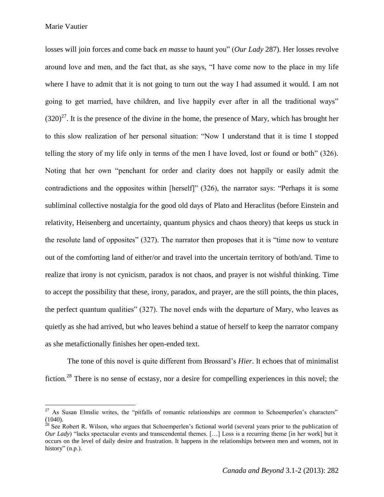Marie Vautier

l

losses will join forces and come back *en masse* to haunt you" (*Our Lady* 287). Her losses revolve around love and men, and the fact that, as she says, "I have come now to the place in my life where I have to admit that it is not going to turn out the way I had assumed it would. I am not going to get married, have children, and live happily ever after in all the traditional ways"  $(320)^{27}$ . It is the presence of the divine in the home, the presence of Mary, which has brought her to this slow realization of her personal situation: "Now I understand that it is time I stopped telling the story of my life only in terms of the men I have loved, lost or found or both" (326). Noting that her own "penchant for order and clarity does not happily or easily admit the contradictions and the opposites within [herself]" (326), the narrator says: "Perhaps it is some subliminal collective nostalgia for the good old days of Plato and Heraclitus (before Einstein and relativity, Heisenberg and uncertainty, quantum physics and chaos theory) that keeps us stuck in the resolute land of opposites" (327). The narrator then proposes that it is "time now to venture out of the comforting land of either/or and travel into the uncertain territory of both/and. Time to realize that irony is not cynicism, paradox is not chaos, and prayer is not wishful thinking. Time to accept the possibility that these, irony, paradox, and prayer, are the still points, the thin places, the perfect quantum qualities" (327). The novel ends with the departure of Mary, who leaves as quietly as she had arrived, but who leaves behind a statue of herself to keep the narrator company as she metafictionally finishes her open-ended text.

The tone of this novel is quite different from Brossard's *Hier*. It echoes that of minimalist fiction.<sup>28</sup> There is no sense of ecstasy, nor a desire for compelling experiences in this novel; the

 $27$  As Susan Elmslie writes, the "pitfalls of romantic relationships are common to Schoemperlen's characters"  $(1040)$ .

 $^{28}$  See Robert R. Wilson, who argues that Schoemperlen's fictional world (several years prior to the publication of *Our Lady*) "lacks spectacular events and transcendental themes. [...] Loss is a recurring theme [in her work] but it occurs on the level of daily desire and frustration. It happens in the relationships between men and women, not in history" (n.p.).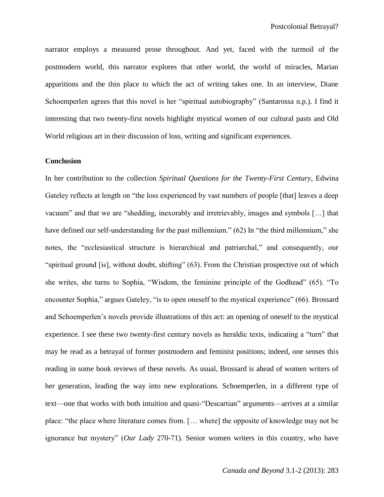narrator employs a measured prose throughout. And yet, faced with the turmoil of the postmodern world, this narrator explores that other world, the world of miracles, Marian apparitions and the thin place to which the act of writing takes one. In an interview, Diane Schoemperlen agrees that this novel is her "spiritual autobiography" (Santarossa n.p.). I find it interesting that two twenty-first novels highlight mystical women of our cultural pasts and Old World religious art in their discussion of loss, writing and significant experiences.

### **Conclusion**

In her contribution to the collection *Spiritual Questions for the Twenty-First Century*, Edwina Gateley reflects at length on "the loss experienced by vast numbers of people [that] leaves a deep vacuum" and that we are "shedding, inexorably and irretrievably, images and symbols […] that have defined our self-understanding for the past millennium." (62) In "the third millennium," she notes, the "ecclesiastical structure is hierarchical and patriarchal," and consequently, our "spiritual ground [is], without doubt, shifting" (63). From the Christian prospective out of which she writes, she turns to Sophia, "Wisdom, the feminine principle of the Godhead" (65). "To encounter Sophia," argues Gateley, "is to open oneself to the mystical experience" (66). Brossard and Schoemperlen's novels provide illustrations of this act: an opening of oneself to the mystical experience. I see these two twenty-first century novels as heraldic texts, indicating a "turn" that may be read as a betrayal of former postmodern and feminist positions; indeed, one senses this reading in some book reviews of these novels. As usual, Brossard is ahead of women writers of her generation, leading the way into new explorations. Schoemperlen, in a different type of text—one that works with both intuition and quasi-"Descartian" arguments—arrives at a similar place: "the place where literature comes from. [… where] the opposite of knowledge may not be ignorance but mystery" (*Our Lady* 270-71). Senior women writers in this country, who have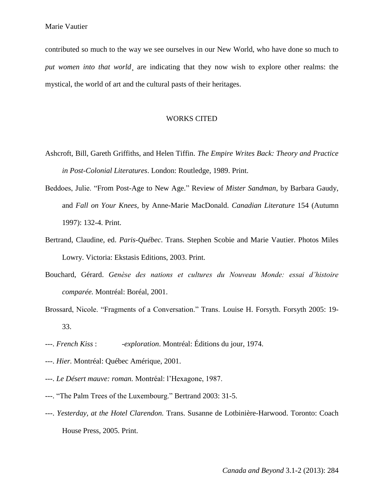contributed so much to the way we see ourselves in our New World, who have done so much to *put women into that world*, are indicating that they now wish to explore other realms: the mystical, the world of art and the cultural pasts of their heritages.

## WORKS CITED

- Ashcroft, Bill, Gareth Griffiths, and Helen Tiffin. *The Empire Writes Back: Theory and Practice in Post-Colonial Literatures*. London: Routledge, 1989. Print.
- Beddoes, Julie. "From Post-Age to New Age." Review of *Mister Sandman*, by Barbara Gaudy, and *Fall on Your Knees*, by Anne-Marie MacDonald. *Canadian Literature* 154 (Autumn 1997): 132-4. Print.
- Bertrand, Claudine, ed. *Paris-Québec*. Trans. Stephen Scobie and Marie Vautier. Photos Miles Lowry. Victoria: Ekstasis Editions, 2003. Print.
- Bouchard, Gérard. *Genèse des nations et cultures du Nouveau Monde: essai d'histoire comparée.* Montréal: Boréal, 2001.
- Brossard, Nicole. "Fragments of a Conversation." Trans. Louise H. Forsyth. Forsyth 2005: 19- 33.
- ---. *French Kiss* : *-exploration*. Montréal: Éditions du jour, 1974.
- ---. *Hier.* Montréal: Québec Amérique, 2001.
- ---. *Le Désert mauve: roman.* Montréal: l'Hexagone, 1987.
- ---. "The Palm Trees of the Luxembourg." Bertrand 2003: 31-5.
- ---. *Yesterday, at the Hotel Clarendon.* Trans. Susanne de Lotbinière-Harwood. Toronto: Coach House Press, 2005. Print.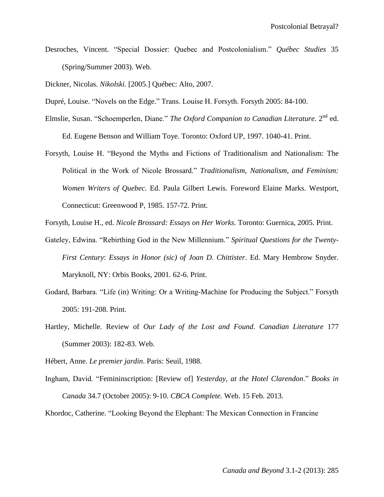Desroches, Vincent. "Special Dossier: Quebec and Postcolonialism." *Québec Studies* 35 (Spring/Summer 2003). Web.

Dickner, Nicolas. *Nikolski.* [2005.] Québec: Alto, 2007.

Dupré, Louise. "Novels on the Edge." Trans. Louise H. Forsyth. Forsyth 2005: 84-100.

- Elmslie, Susan. "Schoemperlen, Diane." *The Oxford Companion to Canadian Literature*. 2<sup>nd</sup> ed. Ed. Eugene Benson and William Toye. Toronto: Oxford UP, 1997. 1040-41. Print.
- Forsyth, Louise H. "Beyond the Myths and Fictions of Traditionalism and Nationalism: The Political in the Work of Nicole Brossard." *Traditionalism, Nationalism, and Feminism: Women Writers of Quebec.* Ed. Paula Gilbert Lewis. Foreword Elaine Marks. Westport, Connecticut: Greenwood P, 1985. 157-72. Print.

Forsyth, Louise H., ed. *Nicole Brossard: Essays on Her Works.* Toronto: Guernica, 2005. Print.

- Gateley, Edwina. "Rebirthing God in the New Millennium." *Spiritual Questions for the Twenty-First Century*: *Essays in Honor (sic) of Joan D. Chittister*. Ed. Mary Hembrow Snyder. Maryknoll, NY: Orbis Books, 2001. 62-6. Print.
- Godard, Barbara. "Life (in) Writing: Or a Writing-Machine for Producing the Subject." Forsyth 2005: 191-208. Print.
- Hartley, Michelle. Review of *Our Lady of the Lost and Found*. *Canadian Literature* 177 (Summer 2003): 182-83. Web.

Hébert, Anne. *Le premier jardin*. Paris: Seuil, 1988.

Ingham, David. "Femininscription: [Review of] *Yesterday, at the Hotel Clarendon*." *Books in Canada* 34.7 (October 2005): 9-10. *CBCA Complete.* Web. 15 Feb. 2013.

Khordoc, Catherine. "Looking Beyond the Elephant: The Mexican Connection in Francine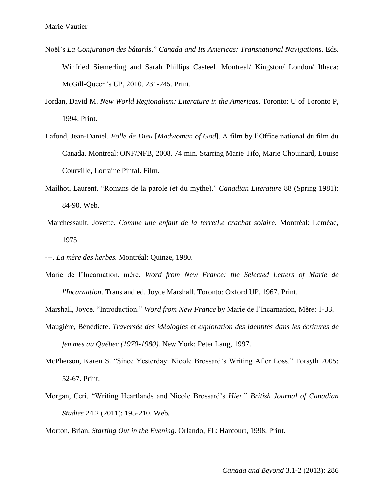- Noël's *La Conjuration des bâtards*." *Canada and Its Americas: Transnational Navigations*. Eds. Winfried Siemerling and Sarah Phillips Casteel. Montreal/ Kingston/ London/ Ithaca: McGill-Queen's UP, 2010. 231-245. Print.
- Jordan, David M. *New World Regionalism: Literature in the Americas*. Toronto: U of Toronto P, 1994. Print.
- Lafond, Jean-Daniel. *Folle de Dieu* [*Madwoman of God*]. A film by l'Office national du film du Canada. Montreal: ONF/NFB, 2008. 74 min. Starring Marie Tifo, Marie Chouinard, Louise Courville, Lorraine Pintal. Film.
- Mailhot, Laurent. "Romans de la parole (et du mythe)." *Canadian Literature* 88 (Spring 1981): 84-90. Web.
- Marchessault, Jovette*. Comme une enfant de la terre/Le crachat solaire*. Montréal: Leméac, 1975.
- ---. *La mère des herbes.* Montréal: Quinze, 1980.
- Marie de l'Incarnation, mère. *Word from New France: the Selected Letters of Marie de l'Incarnation*. Trans and ed. Joyce Marshall. Toronto: Oxford UP, 1967. Print.

Marshall, Joyce. "Introduction." *Word from New France* by Marie de l'Incarnation, Mère: 1-33.

- Maugière, Bénédicte. *Traversée des idéologies et exploration des identités dans les écritures de femmes au Québec (1970-1980).* New York: Peter Lang, 1997.
- McPherson, Karen S. "Since Yesterday: Nicole Brossard's Writing After Loss." Forsyth 2005: 52-67. Print.
- Morgan, Ceri. "Writing Heartlands and Nicole Brossard's *Hier.*" *British Journal of Canadian Studies* 24.2 (2011): 195-210. Web.

Morton, Brian. *Starting Out in the Evening*. Orlando, FL: Harcourt, 1998. Print.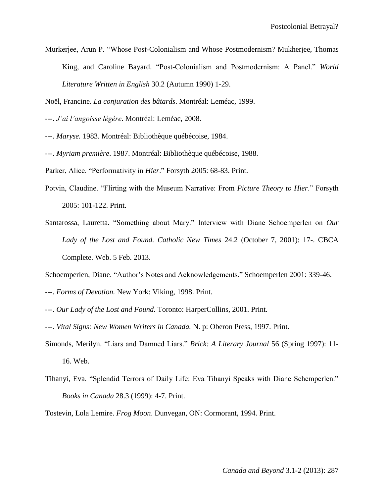Murkerjee, Arun P. "Whose Post-Colonialism and Whose Postmodernism? Mukherjee, Thomas King, and Caroline Bayard. "Post-Colonialism and Postmodernism: A Panel." *World Literature Written in English* 30.2 (Autumn 1990) 1-29.

- ---. *J'ai l'angoisse légère*. Montréal: Leméac, 2008.
- ---. *Maryse.* 1983. Montréal: Bibliothèque québécoise, 1984.
- ---. *Myriam première*. 1987. Montréal: Bibliothèque québécoise, 1988.
- Parker, Alice. "Performativity in *Hier*." Forsyth 2005: 68-83. Print.
- Potvin, Claudine. "Flirting with the Museum Narrative: From *Picture Theory to Hier*." Forsyth 2005: 101-122. Print.
- Santarossa, Lauretta. "Something about Mary." Interview with Diane Schoemperlen on *Our Lady of the Lost and Found. Catholic New Times* 24.2 (October 7, 2001): 17-. CBCA Complete. Web. 5 Feb. 2013.
- Schoemperlen, Diane. "Author's Notes and Acknowledgements." Schoemperlen 2001: 339-46.
- ---. *Forms of Devotion.* New York: Viking, 1998. Print.
- ---. *Our Lady of the Lost and Found.* Toronto: HarperCollins, 2001. Print.
- ---. *Vital Signs: New Women Writers in Canada.* N. p: Oberon Press, 1997. Print.
- Simonds, Merilyn. "Liars and Damned Liars." *Brick: A Literary Journal* 56 (Spring 1997): 11- 16. Web.
- Tihanyi, Eva. "Splendid Terrors of Daily Life: Eva Tihanyi Speaks with Diane Schemperlen." *Books in Canada* 28.3 (1999): 4-7. Print.

Tostevin, Lola Lemire. *Frog Moon*. Dunvegan, ON: Cormorant, 1994. Print.

Noël, Francine. *La conjuration des bâtards*. Montréal: Leméac, 1999.